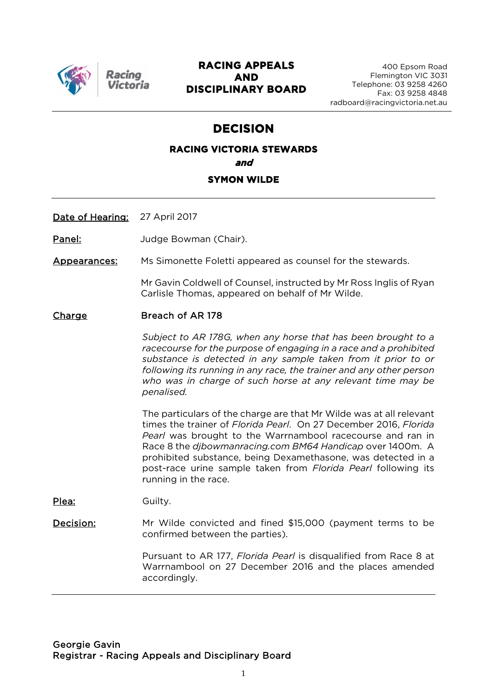

Racing ctoria

## **RACING APPEALS AND DISCIPLINARY BOARD**

## **DECISION**

## **RACING VICTORIA STEWARDS and SYMON WILDE**

Date of Hearing: 27 April 2017

Panel: **Judge Bowman (Chair).** 

Appearances: Ms Simonette Foletti appeared as counsel for the stewards.

Mr Gavin Coldwell of Counsel, instructed by Mr Ross Inglis of Ryan Carlisle Thomas, appeared on behalf of Mr Wilde.

#### Charge Breach of AR 178

*Subject to AR 178G, when any horse that has been brought to a racecourse for the purpose of engaging in a race and a prohibited substance is detected in any sample taken from it prior to or following its running in any race, the trainer and any other person who was in charge of such horse at any relevant time may be penalised.*

The particulars of the charge are that Mr Wilde was at all relevant times the trainer of *Florida Pearl*. On 27 December 2016, *Florida Pearl* was brought to the Warrnambool racecourse and ran in Race 8 the *djbowmanracing.com BM64 Handicap* over 1400m. A prohibited substance, being Dexamethasone, was detected in a post-race urine sample taken from *Florida Pearl* following its running in the race.

Plea: Guilty.

Decision: Mr Wilde convicted and fined \$15,000 (payment terms to be confirmed between the parties).

> Pursuant to AR 177, *Florida Pearl* is disqualified from Race 8 at Warrnambool on 27 December 2016 and the places amended accordingly.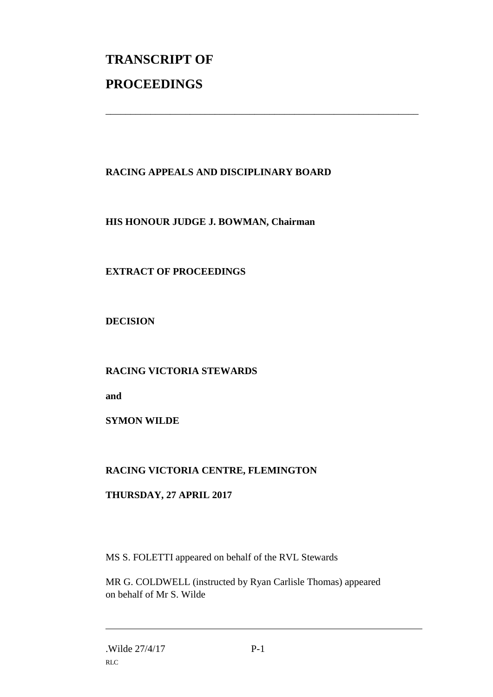# **TRANSCRIPT OF PROCEEDINGS**

## **RACING APPEALS AND DISCIPLINARY BOARD**

\_\_\_\_\_\_\_\_\_\_\_\_\_\_\_\_\_\_\_\_\_\_\_\_\_\_\_\_\_\_\_\_\_\_\_\_\_\_\_\_\_\_\_\_\_\_\_\_\_\_\_\_\_\_\_\_\_\_\_\_\_\_\_

#### **HIS HONOUR JUDGE J. BOWMAN, Chairman**

## **EXTRACT OF PROCEEDINGS**

**DECISION**

**RACING VICTORIA STEWARDS**

**and** 

**SYMON WILDE**

## **RACING VICTORIA CENTRE, FLEMINGTON**

#### **THURSDAY, 27 APRIL 2017**

MS S. FOLETTI appeared on behalf of the RVL Stewards

MR G. COLDWELL (instructed by Ryan Carlisle Thomas) appeared on behalf of Mr S. Wilde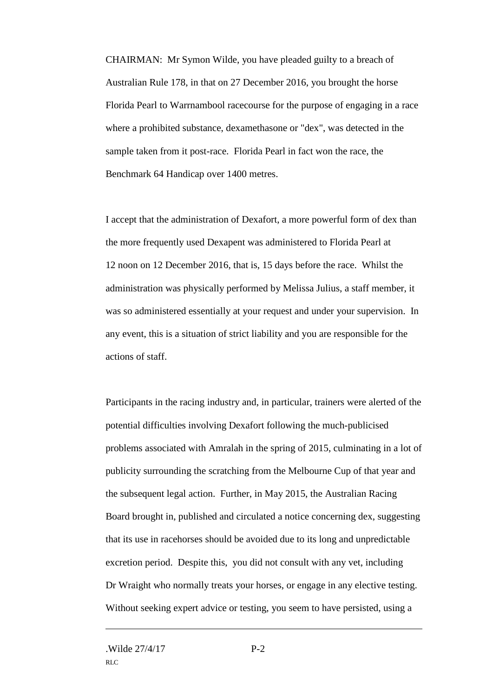CHAIRMAN: Mr Symon Wilde, you have pleaded guilty to a breach of Australian Rule 178, in that on 27 December 2016, you brought the horse Florida Pearl to Warrnambool racecourse for the purpose of engaging in a race where a prohibited substance, dexamethasone or "dex", was detected in the sample taken from it post-race. Florida Pearl in fact won the race, the Benchmark 64 Handicap over 1400 metres.

I accept that the administration of Dexafort, a more powerful form of dex than the more frequently used Dexapent was administered to Florida Pearl at 12 noon on 12 December 2016, that is, 15 days before the race. Whilst the administration was physically performed by Melissa Julius, a staff member, it was so administered essentially at your request and under your supervision. In any event, this is a situation of strict liability and you are responsible for the actions of staff.

Participants in the racing industry and, in particular, trainers were alerted of the potential difficulties involving Dexafort following the much-publicised problems associated with Amralah in the spring of 2015, culminating in a lot of publicity surrounding the scratching from the Melbourne Cup of that year and the subsequent legal action. Further, in May 2015, the Australian Racing Board brought in, published and circulated a notice concerning dex, suggesting that its use in racehorses should be avoided due to its long and unpredictable excretion period. Despite this, you did not consult with any vet, including Dr Wraight who normally treats your horses, or engage in any elective testing. Without seeking expert advice or testing, you seem to have persisted, using a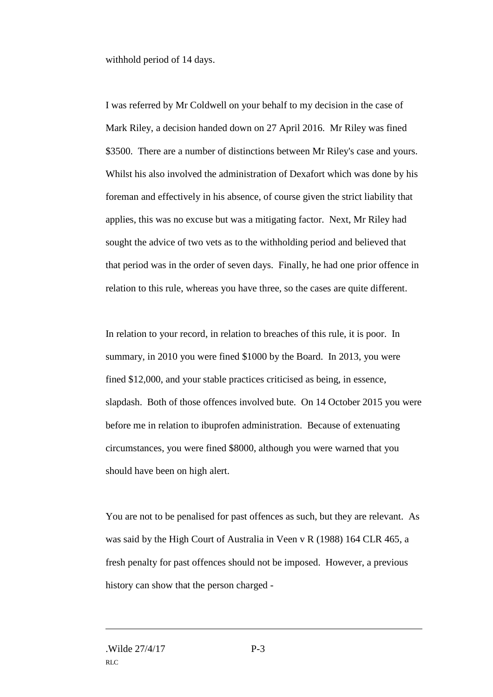withhold period of 14 days.

I was referred by Mr Coldwell on your behalf to my decision in the case of Mark Riley, a decision handed down on 27 April 2016. Mr Riley was fined \$3500. There are a number of distinctions between Mr Riley's case and yours. Whilst his also involved the administration of Dexafort which was done by his foreman and effectively in his absence, of course given the strict liability that applies, this was no excuse but was a mitigating factor. Next, Mr Riley had sought the advice of two vets as to the withholding period and believed that that period was in the order of seven days. Finally, he had one prior offence in relation to this rule, whereas you have three, so the cases are quite different.

In relation to your record, in relation to breaches of this rule, it is poor. In summary, in 2010 you were fined \$1000 by the Board. In 2013, you were fined \$12,000, and your stable practices criticised as being, in essence, slapdash. Both of those offences involved bute. On 14 October 2015 you were before me in relation to ibuprofen administration. Because of extenuating circumstances, you were fined \$8000, although you were warned that you should have been on high alert.

You are not to be penalised for past offences as such, but they are relevant. As was said by the High Court of Australia in Veen v R (1988) 164 CLR 465, a fresh penalty for past offences should not be imposed. However, a previous history can show that the person charged -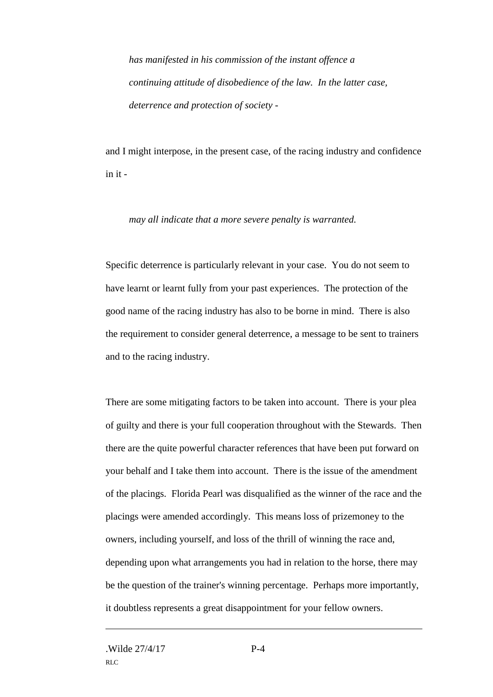*has manifested in his commission of the instant offence a continuing attitude of disobedience of the law. In the latter case, deterrence and protection of society -*

and I might interpose, in the present case, of the racing industry and confidence in it -

*may all indicate that a more severe penalty is warranted.* 

Specific deterrence is particularly relevant in your case. You do not seem to have learnt or learnt fully from your past experiences. The protection of the good name of the racing industry has also to be borne in mind. There is also the requirement to consider general deterrence, a message to be sent to trainers and to the racing industry.

There are some mitigating factors to be taken into account. There is your plea of guilty and there is your full cooperation throughout with the Stewards. Then there are the quite powerful character references that have been put forward on your behalf and I take them into account. There is the issue of the amendment of the placings. Florida Pearl was disqualified as the winner of the race and the placings were amended accordingly. This means loss of prizemoney to the owners, including yourself, and loss of the thrill of winning the race and, depending upon what arrangements you had in relation to the horse, there may be the question of the trainer's winning percentage. Perhaps more importantly, it doubtless represents a great disappointment for your fellow owners.